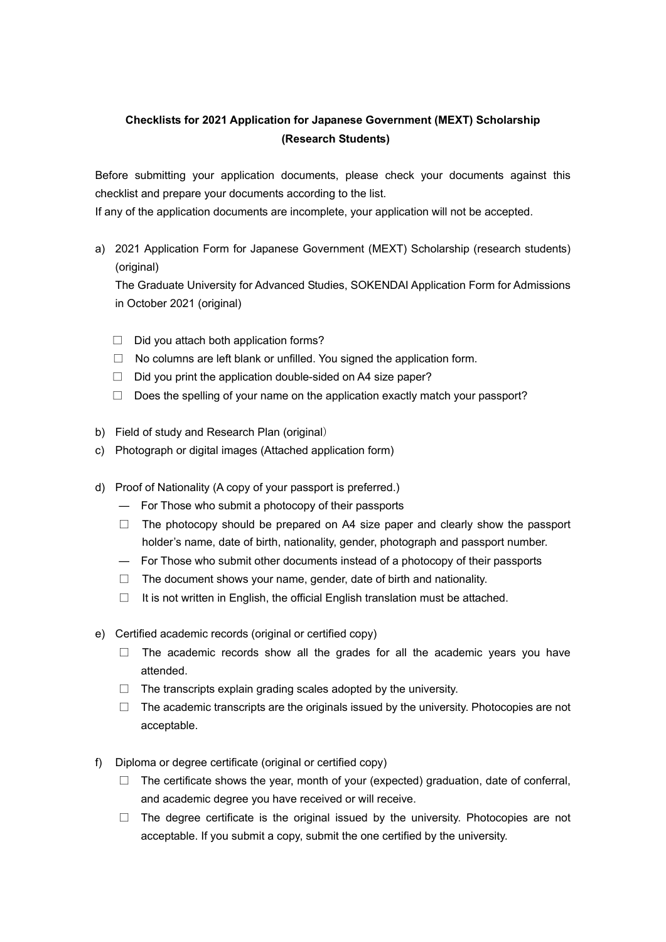## **Checklists for 2021 Application for Japanese Government (MEXT) Scholarship (Research Students)**

Before submitting your application documents, please check your documents against this checklist and prepare your documents according to the list.

If any of the application documents are incomplete, your application will not be accepted.

a) 2021 Application Form for Japanese Government (MEXT) Scholarship (research students) (original)

The Graduate University for Advanced Studies, SOKENDAI Application Form for Admissions in October 2021 (original)

- $\Box$  Did you attach both application forms?
- $\Box$  No columns are left blank or unfilled. You signed the application form.
- $\Box$  Did you print the application double-sided on A4 size paper?
- $\Box$  Does the spelling of your name on the application exactly match your passport?
- b) Field of study and Research Plan (original)
- c) Photograph or digital images (Attached application form)
- d) Proof of Nationality (A copy of your passport is preferred.)
	- ― For Those who submit a photocopy of their passports
	- $\Box$  The photocopy should be prepared on A4 size paper and clearly show the passport holder's name, date of birth, nationality, gender, photograph and passport number.
	- ― For Those who submit other documents instead of a photocopy of their passports
	- $\Box$  The document shows your name, gender, date of birth and nationality.
	- $\Box$  It is not written in English, the official English translation must be attached.
- e) Certified academic records (original or certified copy)
	- $\Box$  The academic records show all the grades for all the academic years you have attended.
	- $\Box$  The transcripts explain grading scales adopted by the university.
	- $\Box$  The academic transcripts are the originals issued by the university. Photocopies are not acceptable.
- f) Diploma or degree certificate (original or certified copy)
	- $\Box$  The certificate shows the year, month of your (expected) graduation, date of conferral, and academic degree you have received or will receive.
	- $\Box$  The degree certificate is the original issued by the university. Photocopies are not acceptable. If you submit a copy, submit the one certified by the university.